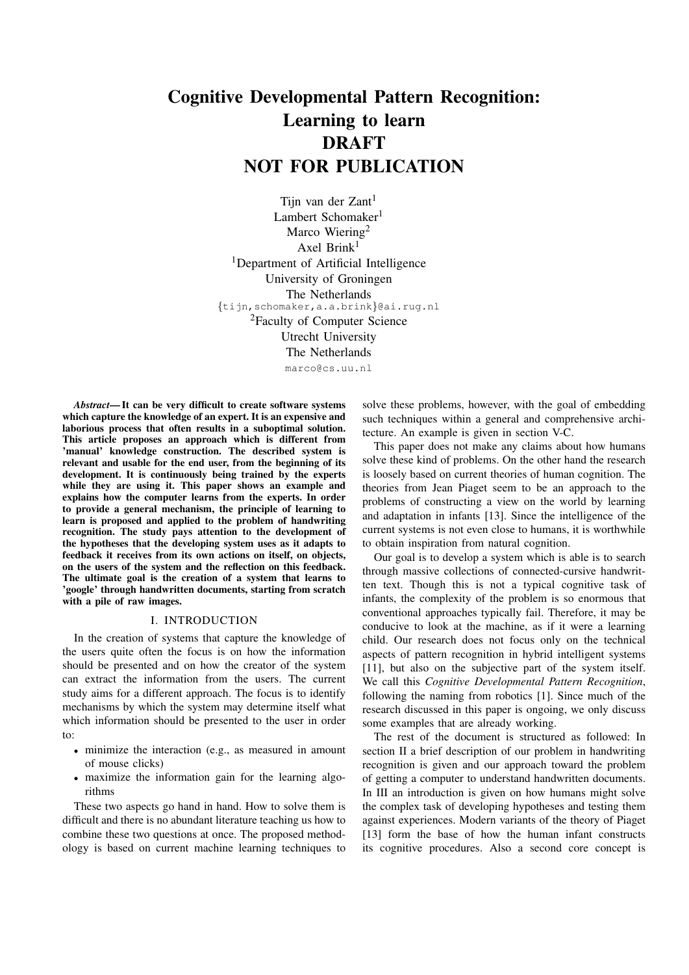# Cognitive Developmental Pattern Recognition: Learning to learn DRAFT NOT FOR PUBLICATION

Tijn van der  $Z$ ant<sup>1</sup> Lambert Schomaker<sup>1</sup> Marco Wiering<sup>2</sup> Axel Brink $1$ <sup>1</sup>Department of Artificial Intelligence University of Groningen The Netherlands {tijn,schomaker,a.a.brink}@ai.rug.nl <sup>2</sup>Faculty of Computer Science Utrecht University The Netherlands marco@cs.uu.nl

*Abstract*— It can be very difficult to create software systems which capture the knowledge of an expert. It is an expensive and laborious process that often results in a suboptimal solution. This article proposes an approach which is different from 'manual' knowledge construction. The described system is relevant and usable for the end user, from the beginning of its development. It is continuously being trained by the experts while they are using it. This paper shows an example and explains how the computer learns from the experts. In order to provide a general mechanism, the principle of learning to learn is proposed and applied to the problem of handwriting recognition. The study pays attention to the development of the hypotheses that the developing system uses as it adapts to feedback it receives from its own actions on itself, on objects, on the users of the system and the reflection on this feedback. The ultimate goal is the creation of a system that learns to 'google' through handwritten documents, starting from scratch with a pile of raw images.

#### I. INTRODUCTION

In the creation of systems that capture the knowledge of the users quite often the focus is on how the information should be presented and on how the creator of the system can extract the information from the users. The current study aims for a different approach. The focus is to identify mechanisms by which the system may determine itself what which information should be presented to the user in order to:

- minimize the interaction (e.g., as measured in amount of mouse clicks)
- maximize the information gain for the learning algorithms

These two aspects go hand in hand. How to solve them is difficult and there is no abundant literature teaching us how to combine these two questions at once. The proposed methodology is based on current machine learning techniques to

solve these problems, however, with the goal of embedding such techniques within a general and comprehensive architecture. An example is given in section V-C.

This paper does not make any claims about how humans solve these kind of problems. On the other hand the research is loosely based on current theories of human cognition. The theories from Jean Piaget seem to be an approach to the problems of constructing a view on the world by learning and adaptation in infants [13]. Since the intelligence of the current systems is not even close to humans, it is worthwhile to obtain inspiration from natural cognition.

Our goal is to develop a system which is able is to search through massive collections of connected-cursive handwritten text. Though this is not a typical cognitive task of infants, the complexity of the problem is so enormous that conventional approaches typically fail. Therefore, it may be conducive to look at the machine, as if it were a learning child. Our research does not focus only on the technical aspects of pattern recognition in hybrid intelligent systems [11], but also on the subjective part of the system itself. We call this *Cognitive Developmental Pattern Recognition*, following the naming from robotics [1]. Since much of the research discussed in this paper is ongoing, we only discuss some examples that are already working.

The rest of the document is structured as followed: In section II a brief description of our problem in handwriting recognition is given and our approach toward the problem of getting a computer to understand handwritten documents. In III an introduction is given on how humans might solve the complex task of developing hypotheses and testing them against experiences. Modern variants of the theory of Piaget [13] form the base of how the human infant constructs its cognitive procedures. Also a second core concept is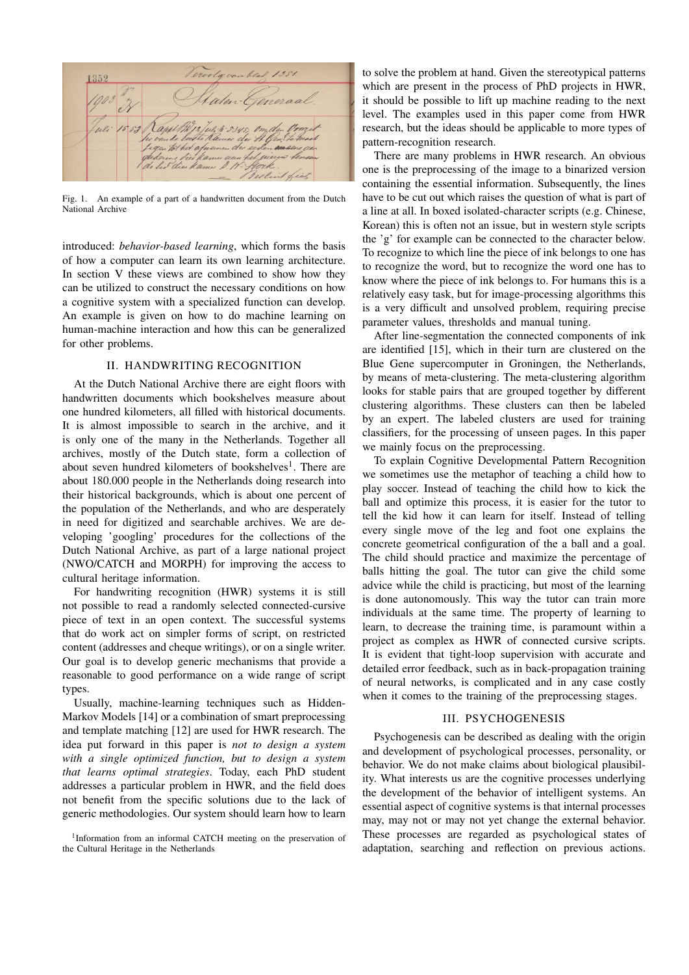

Fig. 1. An example of a part of a handwritten document from the Dutch National Archive

introduced: *behavior-based learning*, which forms the basis of how a computer can learn its own learning architecture. In section V these views are combined to show how they can be utilized to construct the necessary conditions on how a cognitive system with a specialized function can develop. An example is given on how to do machine learning on human-machine interaction and how this can be generalized for other problems.

#### II. HANDWRITING RECOGNITION

At the Dutch National Archive there are eight floors with handwritten documents which bookshelves measure about one hundred kilometers, all filled with historical documents. It is almost impossible to search in the archive, and it is only one of the many in the Netherlands. Together all archives, mostly of the Dutch state, form a collection of about seven hundred kilometers of bookshelves<sup>1</sup>. There are about 180.000 people in the Netherlands doing research into their historical backgrounds, which is about one percent of the population of the Netherlands, and who are desperately in need for digitized and searchable archives. We are developing 'googling' procedures for the collections of the Dutch National Archive, as part of a large national project (NWO/CATCH and MORPH) for improving the access to cultural heritage information.

For handwriting recognition (HWR) systems it is still not possible to read a randomly selected connected-cursive piece of text in an open context. The successful systems that do work act on simpler forms of script, on restricted content (addresses and cheque writings), or on a single writer. Our goal is to develop generic mechanisms that provide a reasonable to good performance on a wide range of script types.

Usually, machine-learning techniques such as Hidden-Markov Models [14] or a combination of smart preprocessing and template matching [12] are used for HWR research. The idea put forward in this paper is *not to design a system with a single optimized function, but to design a system that learns optimal strategies*. Today, each PhD student addresses a particular problem in HWR, and the field does not benefit from the specific solutions due to the lack of generic methodologies. Our system should learn how to learn to solve the problem at hand. Given the stereotypical patterns which are present in the process of PhD projects in HWR, it should be possible to lift up machine reading to the next level. The examples used in this paper come from HWR research, but the ideas should be applicable to more types of pattern-recognition research.

There are many problems in HWR research. An obvious one is the preprocessing of the image to a binarized version containing the essential information. Subsequently, the lines have to be cut out which raises the question of what is part of a line at all. In boxed isolated-character scripts (e.g. Chinese, Korean) this is often not an issue, but in western style scripts the 'g' for example can be connected to the character below. To recognize to which line the piece of ink belongs to one has to recognize the word, but to recognize the word one has to know where the piece of ink belongs to. For humans this is a relatively easy task, but for image-processing algorithms this is a very difficult and unsolved problem, requiring precise parameter values, thresholds and manual tuning.

After line-segmentation the connected components of ink are identified [15], which in their turn are clustered on the Blue Gene supercomputer in Groningen, the Netherlands, by means of meta-clustering. The meta-clustering algorithm looks for stable pairs that are grouped together by different clustering algorithms. These clusters can then be labeled by an expert. The labeled clusters are used for training classifiers, for the processing of unseen pages. In this paper we mainly focus on the preprocessing.

To explain Cognitive Developmental Pattern Recognition we sometimes use the metaphor of teaching a child how to play soccer. Instead of teaching the child how to kick the ball and optimize this process, it is easier for the tutor to tell the kid how it can learn for itself. Instead of telling every single move of the leg and foot one explains the concrete geometrical configuration of the a ball and a goal. The child should practice and maximize the percentage of balls hitting the goal. The tutor can give the child some advice while the child is practicing, but most of the learning is done autonomously. This way the tutor can train more individuals at the same time. The property of learning to learn, to decrease the training time, is paramount within a project as complex as HWR of connected cursive scripts. It is evident that tight-loop supervision with accurate and detailed error feedback, such as in back-propagation training of neural networks, is complicated and in any case costly when it comes to the training of the preprocessing stages.

#### III. PSYCHOGENESIS

Psychogenesis can be described as dealing with the origin and development of psychological processes, personality, or behavior. We do not make claims about biological plausibility. What interests us are the cognitive processes underlying the development of the behavior of intelligent systems. An essential aspect of cognitive systems is that internal processes may, may not or may not yet change the external behavior. These processes are regarded as psychological states of adaptation, searching and reflection on previous actions.

<sup>&</sup>lt;sup>1</sup>Information from an informal CATCH meeting on the preservation of the Cultural Heritage in the Netherlands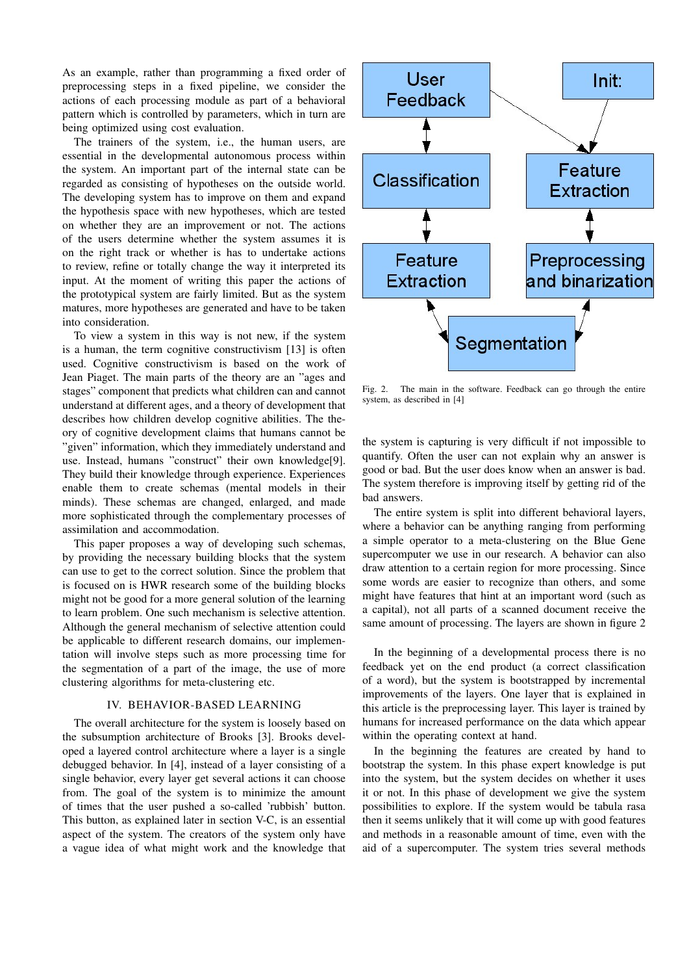As an example, rather than programming a fixed order of preprocessing steps in a fixed pipeline, we consider the actions of each processing module as part of a behavioral pattern which is controlled by parameters, which in turn are being optimized using cost evaluation.

The trainers of the system, i.e., the human users, are essential in the developmental autonomous process within the system. An important part of the internal state can be regarded as consisting of hypotheses on the outside world. The developing system has to improve on them and expand the hypothesis space with new hypotheses, which are tested on whether they are an improvement or not. The actions of the users determine whether the system assumes it is on the right track or whether is has to undertake actions to review, refine or totally change the way it interpreted its input. At the moment of writing this paper the actions of the prototypical system are fairly limited. But as the system matures, more hypotheses are generated and have to be taken into consideration.

To view a system in this way is not new, if the system is a human, the term cognitive constructivism [13] is often used. Cognitive constructivism is based on the work of Jean Piaget. The main parts of the theory are an "ages and stages" component that predicts what children can and cannot understand at different ages, and a theory of development that describes how children develop cognitive abilities. The theory of cognitive development claims that humans cannot be "given" information, which they immediately understand and use. Instead, humans "construct" their own knowledge[9]. They build their knowledge through experience. Experiences enable them to create schemas (mental models in their minds). These schemas are changed, enlarged, and made more sophisticated through the complementary processes of assimilation and accommodation.

This paper proposes a way of developing such schemas, by providing the necessary building blocks that the system can use to get to the correct solution. Since the problem that is focused on is HWR research some of the building blocks might not be good for a more general solution of the learning to learn problem. One such mechanism is selective attention. Although the general mechanism of selective attention could be applicable to different research domains, our implementation will involve steps such as more processing time for the segmentation of a part of the image, the use of more clustering algorithms for meta-clustering etc.

#### IV. BEHAVIOR-BASED LEARNING

The overall architecture for the system is loosely based on the subsumption architecture of Brooks [3]. Brooks developed a layered control architecture where a layer is a single debugged behavior. In [4], instead of a layer consisting of a single behavior, every layer get several actions it can choose from. The goal of the system is to minimize the amount of times that the user pushed a so-called 'rubbish' button. This button, as explained later in section V-C, is an essential aspect of the system. The creators of the system only have a vague idea of what might work and the knowledge that



Fig. 2. The main in the software. Feedback can go through the entire system, as described in [4]

the system is capturing is very difficult if not impossible to quantify. Often the user can not explain why an answer is good or bad. But the user does know when an answer is bad. The system therefore is improving itself by getting rid of the bad answers.

The entire system is split into different behavioral layers, where a behavior can be anything ranging from performing a simple operator to a meta-clustering on the Blue Gene supercomputer we use in our research. A behavior can also draw attention to a certain region for more processing. Since some words are easier to recognize than others, and some might have features that hint at an important word (such as a capital), not all parts of a scanned document receive the same amount of processing. The layers are shown in figure 2

In the beginning of a developmental process there is no feedback yet on the end product (a correct classification of a word), but the system is bootstrapped by incremental improvements of the layers. One layer that is explained in this article is the preprocessing layer. This layer is trained by humans for increased performance on the data which appear within the operating context at hand.

In the beginning the features are created by hand to bootstrap the system. In this phase expert knowledge is put into the system, but the system decides on whether it uses it or not. In this phase of development we give the system possibilities to explore. If the system would be tabula rasa then it seems unlikely that it will come up with good features and methods in a reasonable amount of time, even with the aid of a supercomputer. The system tries several methods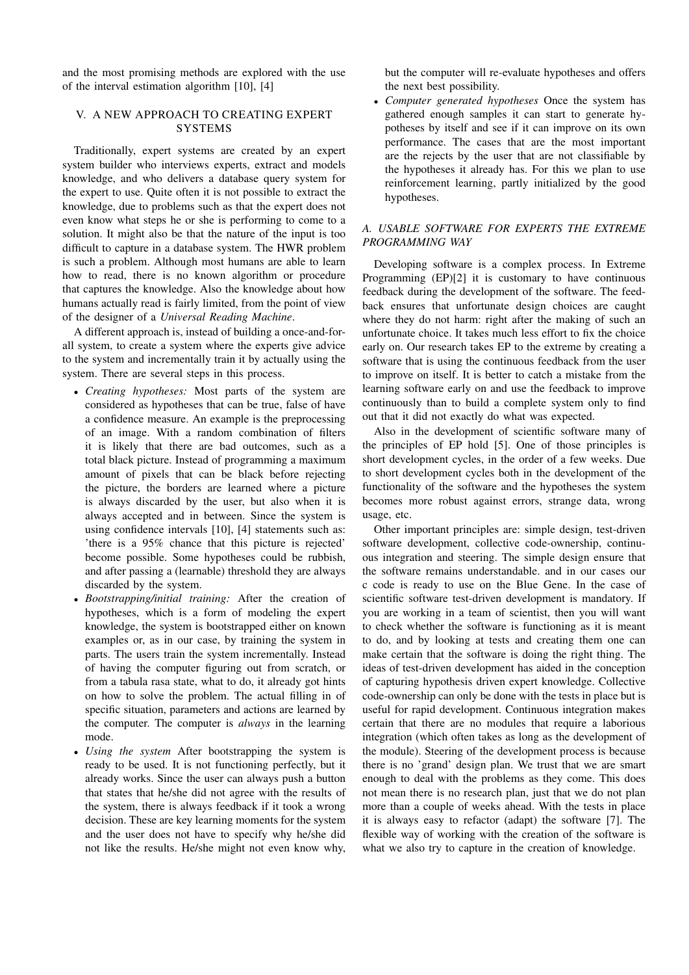and the most promising methods are explored with the use of the interval estimation algorithm [10], [4]

## V. A NEW APPROACH TO CREATING EXPERT **SYSTEMS**

Traditionally, expert systems are created by an expert system builder who interviews experts, extract and models knowledge, and who delivers a database query system for the expert to use. Quite often it is not possible to extract the knowledge, due to problems such as that the expert does not even know what steps he or she is performing to come to a solution. It might also be that the nature of the input is too difficult to capture in a database system. The HWR problem is such a problem. Although most humans are able to learn how to read, there is no known algorithm or procedure that captures the knowledge. Also the knowledge about how humans actually read is fairly limited, from the point of view of the designer of a *Universal Reading Machine*.

A different approach is, instead of building a once-and-forall system, to create a system where the experts give advice to the system and incrementally train it by actually using the system. There are several steps in this process.

- *Creating hypotheses:* Most parts of the system are considered as hypotheses that can be true, false of have a confidence measure. An example is the preprocessing of an image. With a random combination of filters it is likely that there are bad outcomes, such as a total black picture. Instead of programming a maximum amount of pixels that can be black before rejecting the picture, the borders are learned where a picture is always discarded by the user, but also when it is always accepted and in between. Since the system is using confidence intervals [10], [4] statements such as: 'there is a 95% chance that this picture is rejected' become possible. Some hypotheses could be rubbish, and after passing a (learnable) threshold they are always discarded by the system.
- *Bootstrapping/initial training:* After the creation of hypotheses, which is a form of modeling the expert knowledge, the system is bootstrapped either on known examples or, as in our case, by training the system in parts. The users train the system incrementally. Instead of having the computer figuring out from scratch, or from a tabula rasa state, what to do, it already got hints on how to solve the problem. The actual filling in of specific situation, parameters and actions are learned by the computer. The computer is *always* in the learning mode.
- *Using the system* After bootstrapping the system is ready to be used. It is not functioning perfectly, but it already works. Since the user can always push a button that states that he/she did not agree with the results of the system, there is always feedback if it took a wrong decision. These are key learning moments for the system and the user does not have to specify why he/she did not like the results. He/she might not even know why,

but the computer will re-evaluate hypotheses and offers the next best possibility.

• *Computer generated hypotheses* Once the system has gathered enough samples it can start to generate hypotheses by itself and see if it can improve on its own performance. The cases that are the most important are the rejects by the user that are not classifiable by the hypotheses it already has. For this we plan to use reinforcement learning, partly initialized by the good hypotheses.

## *A. USABLE SOFTWARE FOR EXPERTS THE EXTREME PROGRAMMING WAY*

Developing software is a complex process. In Extreme Programming (EP)[2] it is customary to have continuous feedback during the development of the software. The feedback ensures that unfortunate design choices are caught where they do not harm: right after the making of such an unfortunate choice. It takes much less effort to fix the choice early on. Our research takes EP to the extreme by creating a software that is using the continuous feedback from the user to improve on itself. It is better to catch a mistake from the learning software early on and use the feedback to improve continuously than to build a complete system only to find out that it did not exactly do what was expected.

Also in the development of scientific software many of the principles of EP hold [5]. One of those principles is short development cycles, in the order of a few weeks. Due to short development cycles both in the development of the functionality of the software and the hypotheses the system becomes more robust against errors, strange data, wrong usage, etc.

Other important principles are: simple design, test-driven software development, collective code-ownership, continuous integration and steering. The simple design ensure that the software remains understandable. and in our cases our c code is ready to use on the Blue Gene. In the case of scientific software test-driven development is mandatory. If you are working in a team of scientist, then you will want to check whether the software is functioning as it is meant to do, and by looking at tests and creating them one can make certain that the software is doing the right thing. The ideas of test-driven development has aided in the conception of capturing hypothesis driven expert knowledge. Collective code-ownership can only be done with the tests in place but is useful for rapid development. Continuous integration makes certain that there are no modules that require a laborious integration (which often takes as long as the development of the module). Steering of the development process is because there is no 'grand' design plan. We trust that we are smart enough to deal with the problems as they come. This does not mean there is no research plan, just that we do not plan more than a couple of weeks ahead. With the tests in place it is always easy to refactor (adapt) the software [7]. The flexible way of working with the creation of the software is what we also try to capture in the creation of knowledge.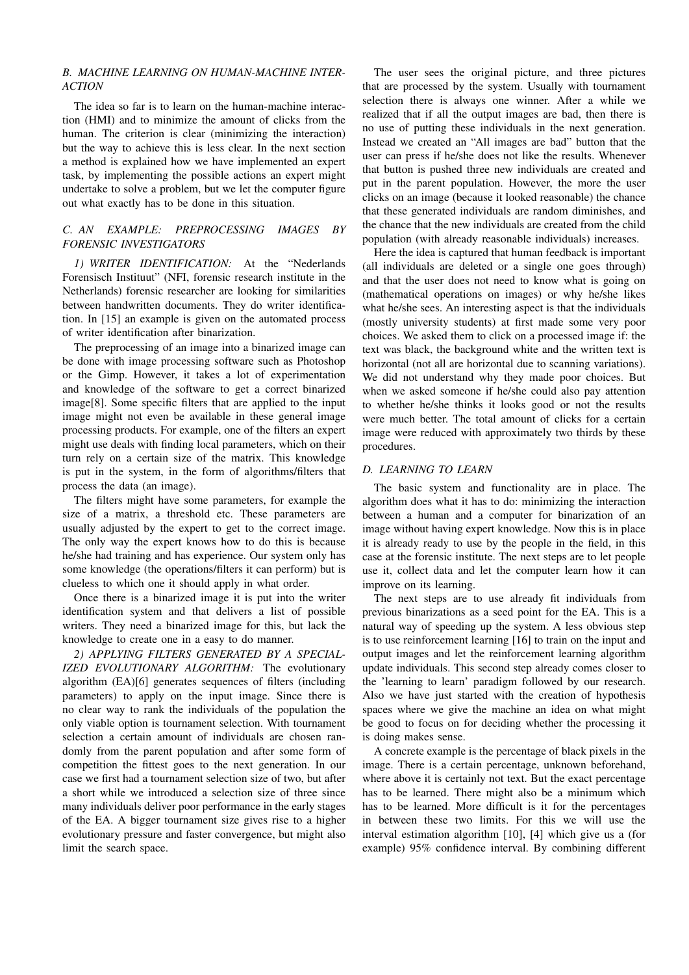## *B. MACHINE LEARNING ON HUMAN-MACHINE INTER-ACTION*

The idea so far is to learn on the human-machine interaction (HMI) and to minimize the amount of clicks from the human. The criterion is clear (minimizing the interaction) but the way to achieve this is less clear. In the next section a method is explained how we have implemented an expert task, by implementing the possible actions an expert might undertake to solve a problem, but we let the computer figure out what exactly has to be done in this situation.

## *C. AN EXAMPLE: PREPROCESSING IMAGES BY FORENSIC INVESTIGATORS*

*1) WRITER IDENTIFICATION:* At the "Nederlands Forensisch Instituut" (NFI, forensic research institute in the Netherlands) forensic researcher are looking for similarities between handwritten documents. They do writer identification. In [15] an example is given on the automated process of writer identification after binarization.

The preprocessing of an image into a binarized image can be done with image processing software such as Photoshop or the Gimp. However, it takes a lot of experimentation and knowledge of the software to get a correct binarized image[8]. Some specific filters that are applied to the input image might not even be available in these general image processing products. For example, one of the filters an expert might use deals with finding local parameters, which on their turn rely on a certain size of the matrix. This knowledge is put in the system, in the form of algorithms/filters that process the data (an image).

The filters might have some parameters, for example the size of a matrix, a threshold etc. These parameters are usually adjusted by the expert to get to the correct image. The only way the expert knows how to do this is because he/she had training and has experience. Our system only has some knowledge (the operations/filters it can perform) but is clueless to which one it should apply in what order.

Once there is a binarized image it is put into the writer identification system and that delivers a list of possible writers. They need a binarized image for this, but lack the knowledge to create one in a easy to do manner.

*2) APPLYING FILTERS GENERATED BY A SPECIAL-IZED EVOLUTIONARY ALGORITHM:* The evolutionary algorithm (EA)[6] generates sequences of filters (including parameters) to apply on the input image. Since there is no clear way to rank the individuals of the population the only viable option is tournament selection. With tournament selection a certain amount of individuals are chosen randomly from the parent population and after some form of competition the fittest goes to the next generation. In our case we first had a tournament selection size of two, but after a short while we introduced a selection size of three since many individuals deliver poor performance in the early stages of the EA. A bigger tournament size gives rise to a higher evolutionary pressure and faster convergence, but might also limit the search space.

The user sees the original picture, and three pictures that are processed by the system. Usually with tournament selection there is always one winner. After a while we realized that if all the output images are bad, then there is no use of putting these individuals in the next generation. Instead we created an "All images are bad" button that the user can press if he/she does not like the results. Whenever that button is pushed three new individuals are created and put in the parent population. However, the more the user clicks on an image (because it looked reasonable) the chance that these generated individuals are random diminishes, and the chance that the new individuals are created from the child population (with already reasonable individuals) increases.

Here the idea is captured that human feedback is important (all individuals are deleted or a single one goes through) and that the user does not need to know what is going on (mathematical operations on images) or why he/she likes what he/she sees. An interesting aspect is that the individuals (mostly university students) at first made some very poor choices. We asked them to click on a processed image if: the text was black, the background white and the written text is horizontal (not all are horizontal due to scanning variations). We did not understand why they made poor choices. But when we asked someone if he/she could also pay attention to whether he/she thinks it looks good or not the results were much better. The total amount of clicks for a certain image were reduced with approximately two thirds by these procedures.

### *D. LEARNING TO LEARN*

The basic system and functionality are in place. The algorithm does what it has to do: minimizing the interaction between a human and a computer for binarization of an image without having expert knowledge. Now this is in place it is already ready to use by the people in the field, in this case at the forensic institute. The next steps are to let people use it, collect data and let the computer learn how it can improve on its learning.

The next steps are to use already fit individuals from previous binarizations as a seed point for the EA. This is a natural way of speeding up the system. A less obvious step is to use reinforcement learning [16] to train on the input and output images and let the reinforcement learning algorithm update individuals. This second step already comes closer to the 'learning to learn' paradigm followed by our research. Also we have just started with the creation of hypothesis spaces where we give the machine an idea on what might be good to focus on for deciding whether the processing it is doing makes sense.

A concrete example is the percentage of black pixels in the image. There is a certain percentage, unknown beforehand, where above it is certainly not text. But the exact percentage has to be learned. There might also be a minimum which has to be learned. More difficult is it for the percentages in between these two limits. For this we will use the interval estimation algorithm [10], [4] which give us a (for example) 95% confidence interval. By combining different